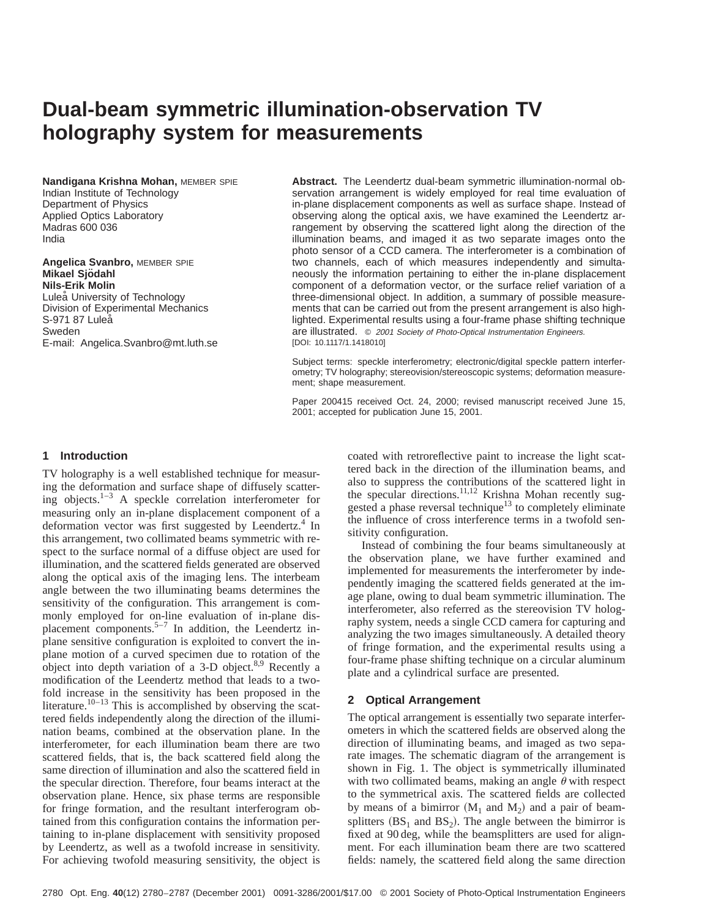# **Dual-beam symmetric illumination-observation TV holography system for measurements**

**Nandigana Krishna Mohan,** MEMBER SPIE Indian Institute of Technology Department of Physics Applied Optics Laboratory Madras 600 036 India

**Angelica Svanbro,** MEMBER SPIE **Mikael Sjödahl Nils-Erik Molin** Lulea˚ University of Technology Division of Experimental Mechanics S-971 87 Luleå Sweden

E-mail: Angelica.Svanbro@mt.luth.se

**Abstract.** The Leendertz dual-beam symmetric illumination-normal observation arrangement is widely employed for real time evaluation of in-plane displacement components as well as surface shape. Instead of observing along the optical axis, we have examined the Leendertz arrangement by observing the scattered light along the direction of the illumination beams, and imaged it as two separate images onto the photo sensor of a CCD camera. The interferometer is a combination of two channels, each of which measures independently and simultaneously the information pertaining to either the in-plane displacement component of a deformation vector, or the surface relief variation of a three-dimensional object. In addition, a summary of possible measurements that can be carried out from the present arrangement is also highlighted. Experimental results using a four-frame phase shifting technique are illustrated. © <sup>2001</sup> Society of Photo-Optical Instrumentation Engineers. [DOI: 10.1117/1.1418010]

Subject terms: speckle interferometry; electronic/digital speckle pattern interferometry; TV holography; stereovision/stereoscopic systems; deformation measurement; shape measurement.

Paper 200415 received Oct. 24, 2000; revised manuscript received June 15, 2001; accepted for publication June 15, 2001.

## **1 Introduction**

TV holography is a well established technique for measuring the deformation and surface shape of diffusely scattering objects.<sup>1–3</sup> A speckle correlation interferometer for measuring only an in-plane displacement component of a deformation vector was first suggested by Leendertz.<sup>4</sup> In this arrangement, two collimated beams symmetric with respect to the surface normal of a diffuse object are used for illumination, and the scattered fields generated are observed along the optical axis of the imaging lens. The interbeam angle between the two illuminating beams determines the sensitivity of the configuration. This arrangement is commonly employed for on-line evaluation of in-plane displacement components.<sup>5–7</sup> In addition, the Leendertz inplane sensitive configuration is exploited to convert the inplane motion of a curved specimen due to rotation of the object into depth variation of a 3-D object.<sup>8,9</sup> Recently a modification of the Leendertz method that leads to a twofold increase in the sensitivity has been proposed in the literature. $10-13$  This is accomplished by observing the scattered fields independently along the direction of the illumination beams, combined at the observation plane. In the interferometer, for each illumination beam there are two scattered fields, that is, the back scattered field along the same direction of illumination and also the scattered field in the specular direction. Therefore, four beams interact at the observation plane. Hence, six phase terms are responsible for fringe formation, and the resultant interferogram obtained from this configuration contains the information pertaining to in-plane displacement with sensitivity proposed by Leendertz, as well as a twofold increase in sensitivity. For achieving twofold measuring sensitivity, the object is coated with retroreflective paint to increase the light scattered back in the direction of the illumination beams, and also to suppress the contributions of the scattered light in the specular directions.<sup>11,12</sup> Krishna Mohan recently suggested a phase reversal technique<sup>13</sup> to completely eliminate the influence of cross interference terms in a twofold sensitivity configuration.

Instead of combining the four beams simultaneously at the observation plane, we have further examined and implemented for measurements the interferometer by independently imaging the scattered fields generated at the image plane, owing to dual beam symmetric illumination. The interferometer, also referred as the stereovision TV holography system, needs a single CCD camera for capturing and analyzing the two images simultaneously. A detailed theory of fringe formation, and the experimental results using a four-frame phase shifting technique on a circular aluminum plate and a cylindrical surface are presented.

# **2 Optical Arrangement**

The optical arrangement is essentially two separate interferometers in which the scattered fields are observed along the direction of illuminating beams, and imaged as two separate images. The schematic diagram of the arrangement is shown in Fig. 1. The object is symmetrically illuminated with two collimated beams, making an angle  $\theta$  with respect to the symmetrical axis. The scattered fields are collected by means of a bimirror  $(M_1$  and  $M_2)$  and a pair of beamsplitters  $(BS_1$  and  $BS_2)$ . The angle between the bimirror is fixed at 90 deg, while the beamsplitters are used for alignment. For each illumination beam there are two scattered fields: namely, the scattered field along the same direction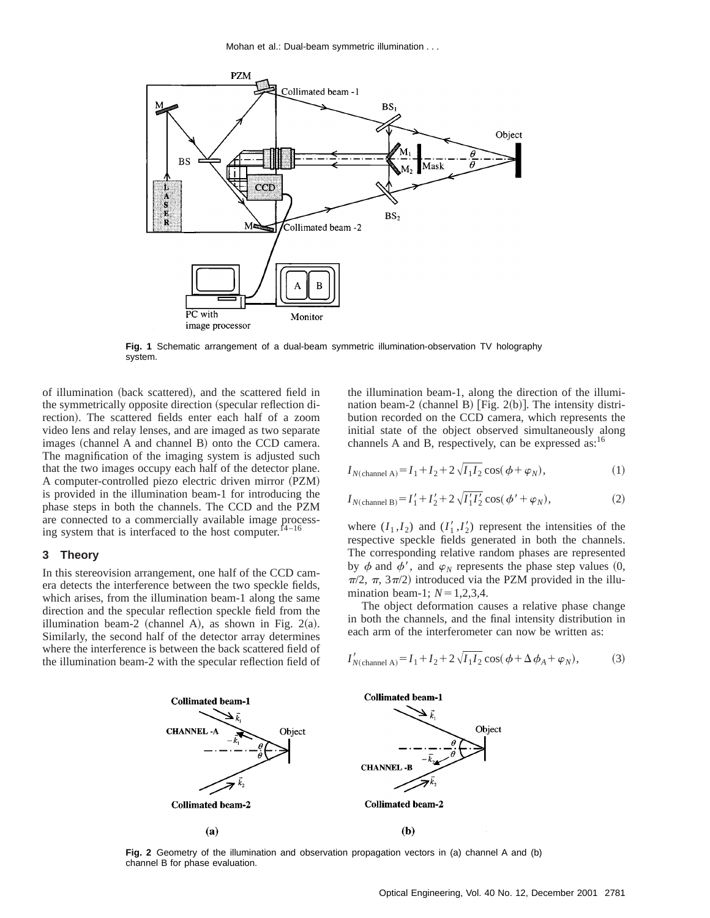

**Fig. 1** Schematic arrangement of a dual-beam symmetric illumination-observation TV holography system.

of illumination (back scattered), and the scattered field in the symmetrically opposite direction (specular reflection direction). The scattered fields enter each half of a zoom video lens and relay lenses, and are imaged as two separate  $images$  (channel A and channel B) onto the CCD camera. The magnification of the imaging system is adjusted such that the two images occupy each half of the detector plane. A computer-controlled piezo electric driven mirror (PZM) is provided in the illumination beam-1 for introducing the phase steps in both the channels. The CCD and the PZM are connected to a commercially available image processing system that is interfaced to the host computer.<sup> $[4-16]$ </sup>

# **3 Theory**

In this stereovision arrangement, one half of the CCD camera detects the interference between the two speckle fields, which arises, from the illumination beam-1 along the same direction and the specular reflection speckle field from the illumination beam-2 (channel A), as shown in Fig.  $2(a)$ . Similarly, the second half of the detector array determines where the interference is between the back scattered field of the illumination beam-2 with the specular reflection field of

the illumination beam-1, along the direction of the illumination beam-2 (channel B) [Fig.  $2(b)$ ]. The intensity distribution recorded on the CCD camera, which represents the initial state of the object observed simultaneously along channels A and B, respectively, can be expressed as: $<sup>16</sup>$ </sup>

$$
I_{N(\text{channel A})} = I_1 + I_2 + 2\sqrt{I_1 I_2} \cos(\phi + \varphi_N),\tag{1}
$$

$$
I_{N(\text{channel B})} = I_1' + I_2' + 2\sqrt{I_1' I_2'} \cos(\phi' + \phi_N),\tag{2}
$$

where  $(I_1, I_2)$  and  $(I'_1, I'_2)$  represent the intensities of the respective speckle fields generated in both the channels. The corresponding relative random phases are represented by  $\phi$  and  $\phi'$ , and  $\phi_N$  represents the phase step values (0,  $\pi/2$ ,  $\pi$ ,  $3\pi/2$ ) introduced via the PZM provided in the illumination beam-1;  $N=1,2,3,4$ .

The object deformation causes a relative phase change in both the channels, and the final intensity distribution in each arm of the interferometer can now be written as:

$$
I'_{N(\text{channel A})} = I_1 + I_2 + 2\sqrt{I_1 I_2} \cos(\phi + \Delta \phi_A + \varphi_N),
$$
 (3)



**Fig. 2** Geometry of the illumination and observation propagation vectors in (a) channel A and (b) channel B for phase evaluation.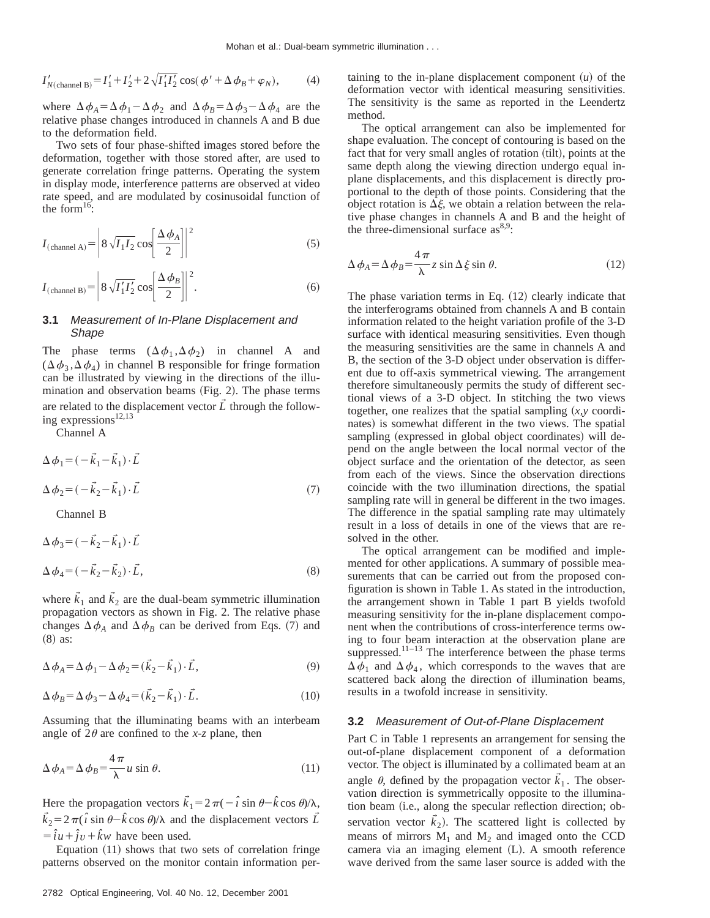$$
I'_{N(\text{channel B})} = I'_1 + I'_2 + 2\sqrt{I'_1 I'_2} \cos(\phi' + \Delta \phi_B + \varphi_N), \tag{4}
$$

where  $\Delta \phi_A = \Delta \phi_1 - \Delta \phi_2$  and  $\Delta \phi_B = \Delta \phi_3 - \Delta \phi_4$  are the relative phase changes introduced in channels A and B due to the deformation field.

Two sets of four phase-shifted images stored before the deformation, together with those stored after, are used to generate correlation fringe patterns. Operating the system in display mode, interference patterns are observed at video rate speed, and are modulated by cosinusoidal function of the form  $16$ :

$$
I_{\text{(channel A)}} = \left| 8\sqrt{I_1 I_2} \cos \left[ \frac{\Delta \phi_A}{2} \right] \right|^2 \tag{5}
$$

$$
I_{\text{(channel B)}} = \left| 8\sqrt{I_1' I_2'} \cos \left[ \frac{\Delta \phi_B}{2} \right] \right|^2. \tag{6}
$$

## **3.1** Measurement of In-Plane Displacement and Shape

The phase terms  $(\Delta \phi_1, \Delta \phi_2)$  in channel A and  $(\Delta \phi_3, \Delta \phi_4)$  in channel B responsible for fringe formation can be illustrated by viewing in the directions of the illumination and observation beams  $(Fig. 2)$ . The phase terms are related to the displacement vector  $\vec{L}$  through the following expressions $12,13$ 

Channel A

$$
\Delta \phi_1 = (-\vec{k}_1 - \vec{k}_1) \cdot \vec{L}
$$
  
\n
$$
\Delta \phi_2 = (-\vec{k}_2 - \vec{k}_1) \cdot \vec{L}
$$
  
\nChannel B (7)

$$
\Delta \phi_3 = (-\vec{k}_2 - \vec{k}_1) \cdot \vec{L}
$$
  

$$
\Delta \phi_4 = (-\vec{k}_2 - \vec{k}_2) \cdot \vec{L},
$$
 (8)

where  $\tilde{k}_1$  and  $\tilde{k}_2$  are the dual-beam symmetric illumination propagation vectors as shown in Fig. 2. The relative phase changes  $\Delta \phi_A$  and  $\Delta \phi_B$  can be derived from Eqs. (7) and  $(8)$  as:

$$
\Delta \phi_A = \Delta \phi_1 - \Delta \phi_2 = (\vec{k}_2 - \vec{k}_1) \cdot \vec{L},\tag{9}
$$

$$
\Delta \phi_B = \Delta \phi_3 - \Delta \phi_4 = (\vec{k}_2 - \vec{k}_1) \cdot \vec{L}.
$$
 (10)

Assuming that the illuminating beams with an interbeam angle of  $2\theta$  are confined to the *x*-*z* plane, then

$$
\Delta \phi_A = \Delta \phi_B = \frac{4\pi}{\lambda} u \sin \theta. \tag{11}
$$

Here the propagation vectors  $\vec{k}_1 = 2\pi(-\hat{i} \sin \theta - \hat{k} \cos \theta)/\lambda$ ,  $\vec{k}_2 = 2\pi(\hat{i} \sin \theta - \hat{k} \cos \theta)/\lambda$  and the displacement vectors  $\vec{L}$  $= \hat{i}u + \hat{j}v + \hat{k}w$  have been used.

Equation  $(11)$  shows that two sets of correlation fringe patterns observed on the monitor contain information per-

2782 Optical Engineering, Vol. 40 No. 12, December 2001

taining to the in-plane displacement component  $(u)$  of the deformation vector with identical measuring sensitivities. The sensitivity is the same as reported in the Leendertz method.

The optical arrangement can also be implemented for shape evaluation. The concept of contouring is based on the fact that for very small angles of rotation (tilt), points at the same depth along the viewing direction undergo equal inplane displacements, and this displacement is directly proportional to the depth of those points. Considering that the object rotation is  $\Delta \xi$ , we obtain a relation between the relative phase changes in channels A and B and the height of the three-dimensional surface  $as^{8,9}$ :

$$
\Delta \phi_A = \Delta \phi_B = \frac{4\pi}{\lambda} z \sin \Delta \xi \sin \theta.
$$
 (12)

The phase variation terms in Eq.  $(12)$  clearly indicate that the interferograms obtained from channels A and B contain information related to the height variation profile of the 3-D surface with identical measuring sensitivities. Even though the measuring sensitivities are the same in channels A and B, the section of the 3-D object under observation is different due to off-axis symmetrical viewing. The arrangement therefore simultaneously permits the study of different sectional views of a 3-D object. In stitching the two views together, one realizes that the spatial sampling  $(x, y \text{ coordi-}$ nates) is somewhat different in the two views. The spatial sampling (expressed in global object coordinates) will depend on the angle between the local normal vector of the object surface and the orientation of the detector, as seen from each of the views. Since the observation directions coincide with the two illumination directions, the spatial sampling rate will in general be different in the two images. The difference in the spatial sampling rate may ultimately result in a loss of details in one of the views that are resolved in the other.

The optical arrangement can be modified and implemented for other applications. A summary of possible measurements that can be carried out from the proposed configuration is shown in Table 1. As stated in the introduction, the arrangement shown in Table 1 part B yields twofold measuring sensitivity for the in-plane displacement component when the contributions of cross-interference terms owing to four beam interaction at the observation plane are suppressed.<sup>11–13</sup> The interference between the phase terms  $\Delta \phi_1$  and  $\Delta \phi_4$ , which corresponds to the waves that are scattered back along the direction of illumination beams, results in a twofold increase in sensitivity.

## **3.2** Measurement of Out-of-Plane Displacement

Part C in Table 1 represents an arrangement for sensing the out-of-plane displacement component of a deformation vector. The object is illuminated by a collimated beam at an angle  $\theta$ , defined by the propagation vector  $\vec{k}_1$ . The observation direction is symmetrically opposite to the illumination beam (i.e., along the specular reflection direction; observation vector  $\vec{k}_2$ ). The scattered light is collected by means of mirrors  $M_1$  and  $M_2$  and imaged onto the CCD camera via an imaging element  $(L)$ . A smooth reference wave derived from the same laser source is added with the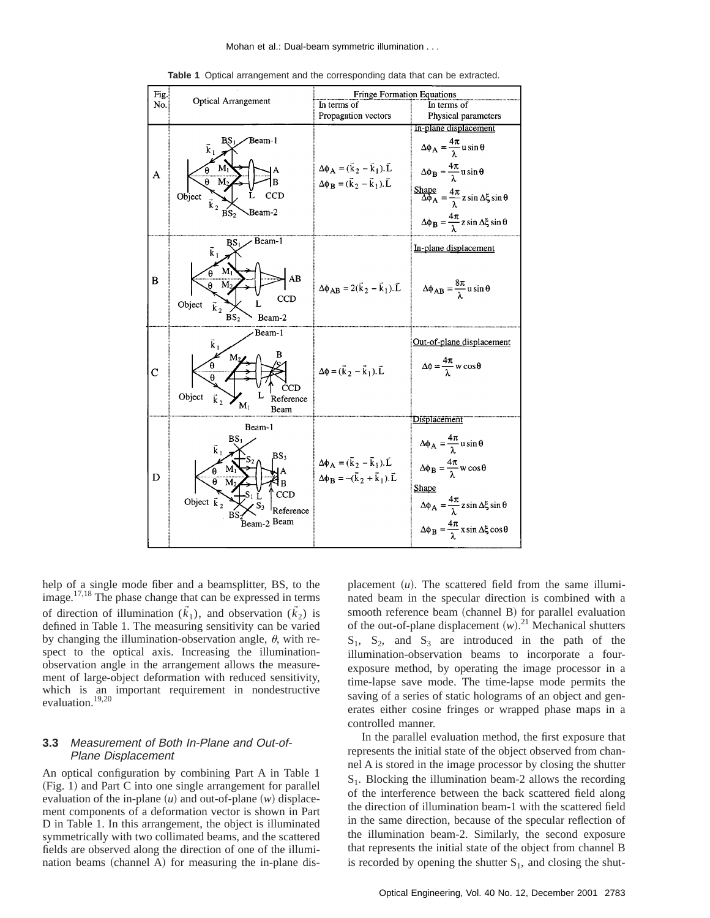Mohan et al.: Dual-beam symmetric illumination . . .



**Table 1** Optical arrangement and the corresponding data that can be extracted.

help of a single mode fiber and a beamsplitter, BS, to the image.<sup>17,18</sup> The phase change that can be expressed in terms of direction of illumination  $(\vec{k}_1)$ , and observation  $(\vec{k}_2)$  is defined in Table 1. The measuring sensitivity can be varied by changing the illumination-observation angle,  $\theta$ , with respect to the optical axis. Increasing the illuminationobservation angle in the arrangement allows the measurement of large-object deformation with reduced sensitivity, which is an important requirement in nondestructive evaluation.<sup>19,20</sup>

# **3.3** Measurement of Both In-Plane and Out-of-Plane Displacement

An optical configuration by combining Part A in Table 1  $(Fig. 1)$  and Part C into one single arrangement for parallel evaluation of the in-plane  $(u)$  and out-of-plane  $(w)$  displacement components of a deformation vector is shown in Part D in Table 1. In this arrangement, the object is illuminated symmetrically with two collimated beams, and the scattered fields are observed along the direction of one of the illumination beams (channel A) for measuring the in-plane displacement  $(u)$ . The scattered field from the same illuminated beam in the specular direction is combined with a smooth reference beam (channel B) for parallel evaluation of the out-of-plane displacement  $(w)$ .<sup>21</sup> Mechanical shutters  $S_1$ ,  $S_2$ , and  $S_3$  are introduced in the path of the illumination-observation beams to incorporate a fourexposure method, by operating the image processor in a time-lapse save mode. The time-lapse mode permits the saving of a series of static holograms of an object and generates either cosine fringes or wrapped phase maps in a controlled manner.

In the parallel evaluation method, the first exposure that represents the initial state of the object observed from channel A is stored in the image processor by closing the shutter  $S<sub>1</sub>$ . Blocking the illumination beam-2 allows the recording of the interference between the back scattered field along the direction of illumination beam-1 with the scattered field in the same direction, because of the specular reflection of the illumination beam-2. Similarly, the second exposure that represents the initial state of the object from channel B is recorded by opening the shutter  $S_1$ , and closing the shut-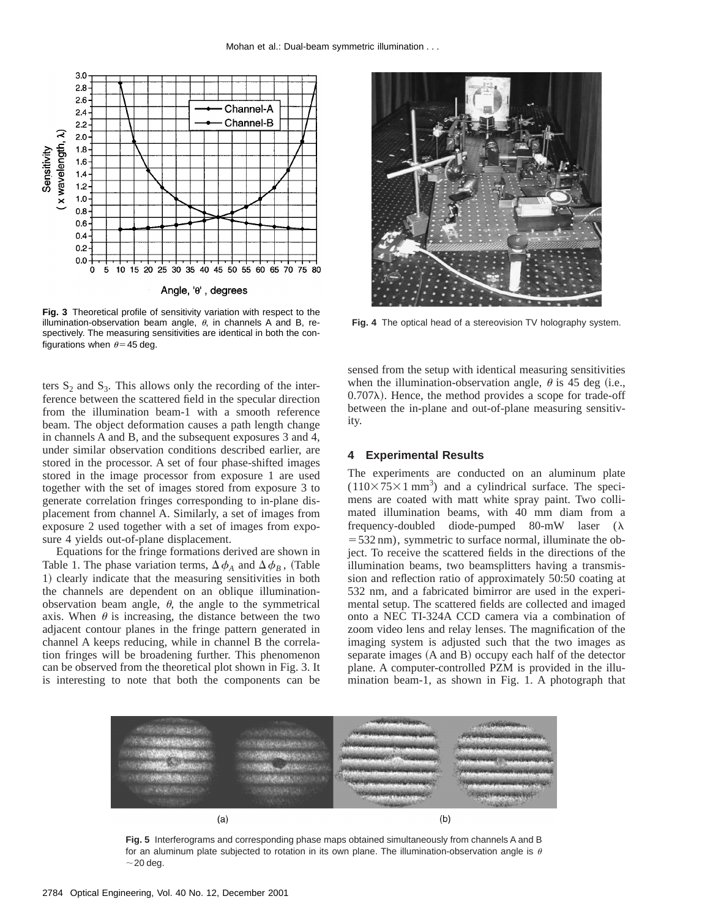

**Fig. 3** Theoretical profile of sensitivity variation with respect to the illumination-observation beam angle,  $\theta$ , in channels A and B, respectively. The measuring sensitivities are identical in both the configurations when  $\theta$  = 45 deg.

ters  $S_2$  and  $S_3$ . This allows only the recording of the interference between the scattered field in the specular direction from the illumination beam-1 with a smooth reference beam. The object deformation causes a path length change in channels A and B, and the subsequent exposures 3 and 4, under similar observation conditions described earlier, are stored in the processor. A set of four phase-shifted images stored in the image processor from exposure 1 are used together with the set of images stored from exposure 3 to generate correlation fringes corresponding to in-plane displacement from channel A. Similarly, a set of images from exposure 2 used together with a set of images from exposure 4 yields out-of-plane displacement.

Equations for the fringe formations derived are shown in Table 1. The phase variation terms,  $\Delta \phi_A$  and  $\Delta \phi_B$ , (Table 1) clearly indicate that the measuring sensitivities in both the channels are dependent on an oblique illuminationobservation beam angle,  $\theta$ , the angle to the symmetrical axis. When  $\theta$  is increasing, the distance between the two adjacent contour planes in the fringe pattern generated in channel A keeps reducing, while in channel B the correlation fringes will be broadening further. This phenomenon can be observed from the theoretical plot shown in Fig. 3. It is interesting to note that both the components can be



**Fig. 4** The optical head of a stereovision TV holography system.

sensed from the setup with identical measuring sensitivities when the illumination-observation angle,  $\theta$  is 45 deg (i.e.,  $0.707\lambda$ ). Hence, the method provides a scope for trade-off between the in-plane and out-of-plane measuring sensitivity.

### **4 Experimental Results**

The experiments are conducted on an aluminum plate  $(110\times75\times1$  mm<sup>3</sup>) and a cylindrical surface. The specimens are coated with matt white spray paint. Two collimated illumination beams, with 40 mm diam from a frequency-doubled diode-pumped  $80\text{-mW}$  laser ( $\lambda$  $=$  532 nm), symmetric to surface normal, illuminate the object. To receive the scattered fields in the directions of the illumination beams, two beamsplitters having a transmission and reflection ratio of approximately 50:50 coating at 532 nm, and a fabricated bimirror are used in the experimental setup. The scattered fields are collected and imaged onto a NEC TI-324A CCD camera via a combination of zoom video lens and relay lenses. The magnification of the imaging system is adjusted such that the two images as separate images  $(A \text{ and } B)$  occupy each half of the detector plane. A computer-controlled PZM is provided in the illumination beam-1, as shown in Fig. 1. A photograph that



**Fig. 5** Interferograms and corresponding phase maps obtained simultaneously from channels A and B for an aluminum plate subjected to rotation in its own plane. The illumination-observation angle is  $\theta$  $\sim$  20 deg.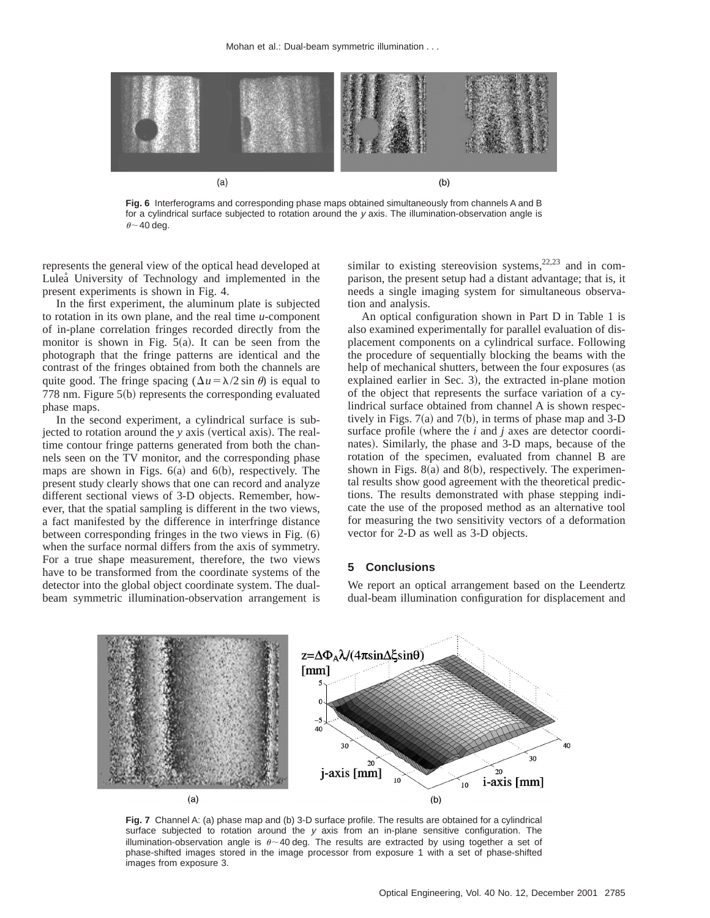

**Fig. 6** Interferograms and corresponding phase maps obtained simultaneously from channels A and B for a cylindrical surface subjected to rotation around the  $y$  axis. The illumination-observation angle is  $\theta$  ~ 40 deg.

represents the general view of the optical head developed at Lulea<sup>®</sup> University of Technology and implemented in the present experiments is shown in Fig. 4.

In the first experiment, the aluminum plate is subjected to rotation in its own plane, and the real time *u*-component of in-plane correlation fringes recorded directly from the monitor is shown in Fig.  $5(a)$ . It can be seen from the photograph that the fringe patterns are identical and the contrast of the fringes obtained from both the channels are quite good. The fringe spacing  $(\Delta u = \lambda/2 \sin \theta)$  is equal to  $778$  nm. Figure  $5(b)$  represents the corresponding evaluated phase maps.

In the second experiment, a cylindrical surface is subjected to rotation around the *y* axis (vertical axis). The realtime contour fringe patterns generated from both the channels seen on the TV monitor, and the corresponding phase maps are shown in Figs.  $6(a)$  and  $6(b)$ , respectively. The present study clearly shows that one can record and analyze different sectional views of 3-D objects. Remember, however, that the spatial sampling is different in the two views, a fact manifested by the difference in interfringe distance between corresponding fringes in the two views in Fig.  $(6)$ when the surface normal differs from the axis of symmetry. For a true shape measurement, therefore, the two views have to be transformed from the coordinate systems of the detector into the global object coordinate system. The dualbeam symmetric illumination-observation arrangement is similar to existing stereovision systems,  $22,23$  and in comparison, the present setup had a distant advantage; that is, it needs a single imaging system for simultaneous observation and analysis.

An optical configuration shown in Part D in Table 1 is also examined experimentally for parallel evaluation of displacement components on a cylindrical surface. Following the procedure of sequentially blocking the beams with the help of mechanical shutters, between the four exposures (as explained earlier in Sec. 3), the extracted in-plane motion of the object that represents the surface variation of a cylindrical surface obtained from channel A is shown respectively in Figs.  $7(a)$  and  $7(b)$ , in terms of phase map and 3-D surface profile (where the  $i$  and  $j$  axes are detector coordinates). Similarly, the phase and 3-D maps, because of the rotation of the specimen, evaluated from channel B are shown in Figs.  $8(a)$  and  $8(b)$ , respectively. The experimental results show good agreement with the theoretical predictions. The results demonstrated with phase stepping indicate the use of the proposed method as an alternative tool for measuring the two sensitivity vectors of a deformation vector for 2-D as well as 3-D objects.

# **5 Conclusions**

We report an optical arrangement based on the Leendertz dual-beam illumination configuration for displacement and



**Fig. 7** Channel A: (a) phase map and (b) 3-D surface profile. The results are obtained for a cylindrical surface subjected to rotation around the  $y$  axis from an in-plane sensitive configuration. The illumination-observation angle is  $\theta \sim 40$  deg. The results are extracted by using together a set of phase-shifted images stored in the image processor from exposure 1 with a set of phase-shifted images from exposure 3.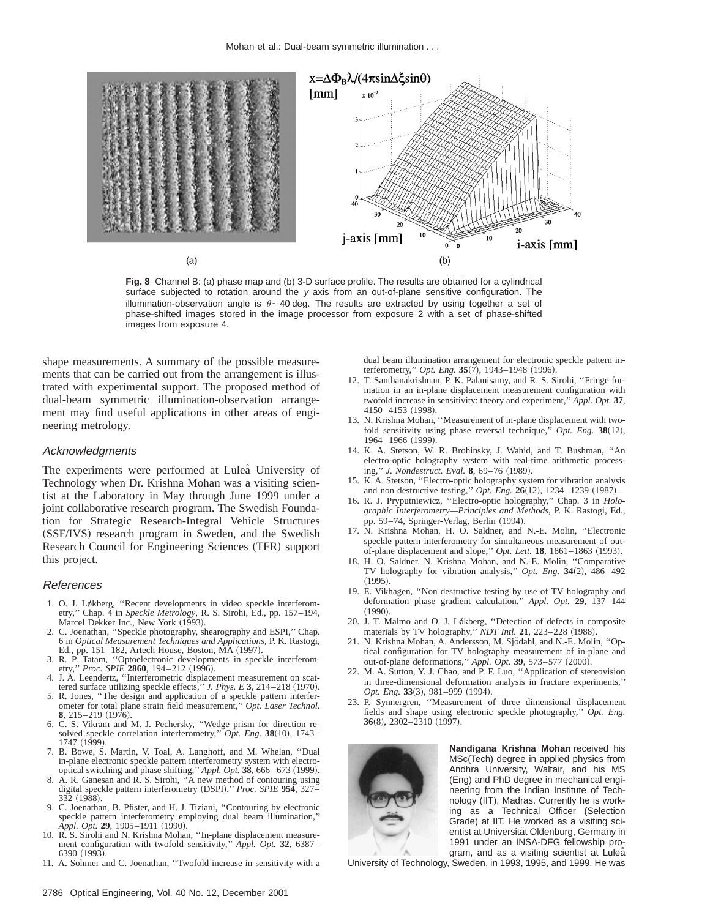

**Fig. 8** Channel B: (a) phase map and (b) 3-D surface profile. The results are obtained for a cylindrical surface subjected to rotation around the  $y$  axis from an out-of-plane sensitive configuration. The illumination-observation angle is  $\theta \sim 40$  deg. The results are extracted by using together a set of phase-shifted images stored in the image processor from exposure 2 with a set of phase-shifted images from exposure 4.

shape measurements. A summary of the possible measurements that can be carried out from the arrangement is illustrated with experimental support. The proposed method of dual-beam symmetric illumination-observation arrangement may find useful applications in other areas of engineering metrology.

#### Acknowledgments

The experiments were performed at Lulea<sup>®</sup> University of Technology when Dr. Krishna Mohan was a visiting scientist at the Laboratory in May through June 1999 under a joint collaborative research program. The Swedish Foundation for Strategic Research-Integral Vehicle Structures (SSF/IVS) research program in Sweden, and the Swedish Research Council for Engineering Sciences (TFR) support this project.

#### References

- 1. O. J. Løkberg, "Recent developments in video speckle interferometry,'' Chap. 4 in *Speckle Metrology*, R. S. Sirohi, Ed., pp. 157–194, Marcel Dekker Inc., New York (1993).<br>2. C. Joenathan, "Speckle photography, shearography and ESPI," Chap.
- 6 in *Optical Measurement Techniques and Applications*, P. K. Rastogi,
- Ed., pp. 151–182, Artech House, Boston, MA (1997).<br>3. R. P. Tatam, "Optoelectronic developments in speckle interferom-<br>try, "*Proc. SPIE* 2860, 194–212 (1996).<br>4. J. A. Leendertz, "Interferometric displacement measurement
- 
- 5. R. Jones, ''The design and application of a speckle pattern interfer-ometer for total plane strain field measurement,'' *Opt. Laser Technol.* **8**, 215–219 (1976).
- 6. C. S. Vikram and M. J. Pechersky, ''Wedge prism for direction resolved speckle correlation interferometry," Opt. Eng. 38(10), 1743– 1747 (1999).
- 7. B. Bowe, S. Martin, V. Toal, A. Langhoff, and M. Whelan, ''Dual in-plane electronic speckle pattern interferometry system with electro-
- optical switching and phase shifting," *Appl. Opt.* **38**, 666–673 (1999).<br>8. A. R. Ganesan and R. S. Sirohi, "A new method of contouring using digital speckle pattern interferometry (DSPI)," *Proc. SPIE* 954, 327– 332 (1988).
- 9. C. Joenathan, B. Pfister, and H. J. Tiziani, ''Contouring by electronic speckle pattern interferometry employing dual beam illumination,'' *Appl. Opt.* **29**, 1905–1911 (1990).
- 10. R. S. Sirohi and N. Krishna Mohan, ''In-plane displacement measurement configuration with twofold sensitivity,'' *Appl. Opt.* **32**, 6387– 6390 (1993).
- 11. A. Sohmer and C. Joenathan, ''Twofold increase in sensitivity with a

dual beam illumination arrangement for electronic speckle pattern interferometry," *Opt. Eng.* **35**(7), 1943–1948 (1996).

- 12. T. Santhanakrishnan, P. K. Palanisamy, and R. S. Sirohi, ''Fringe formation in an in-plane displacement measurement configuration with twofold increase in sensitivity: theory and experiment,'' *Appl. Opt.* **37**, 4150–4153 (1998).
- 13. N. Krishna Mohan, ''Measurement of in-plane displacement with twofold sensitivity using phase reversal technique," *Opt. Eng.* 38(12), 1964–1966 (1999).
- 14. K. A. Stetson, W. R. Brohinsky, J. Wahid, and T. Bushman, ''An electro-optic holography system with real-time arithmetic processing," *J. Nondestruct. Eval.* 8, 69-76 (1989).
- 15. K. A. Stetson, ''Electro-optic holography system for vibration analysis and non destructive testing," *Opt. Eng.* **26**(12), 1234–1239 (1987).
- 16. R. J. Pryputniewicz, ''Electro-optic holography,'' Chap. 3 in *Holographic Interferometry—Principles and Methods*, P. K. Rastogi, Ed., pp. 59–74, Springer-Verlag, Berlin (1994).
- 17. N. Krishna Mohan, H. O. Saldner, and N.-E. Molin, ''Electronic speckle pattern interferometry for simultaneous measurement of outof-plane displacement and slope," *Opt. Lett.* **18**, 1861–1863 (1993).
- 18. H. O. Saldner, N. Krishna Mohan, and N.-E. Molin, ''Comparative TV holography for vibration analysis," Opt. Eng. 34(2), 486-492  $(1995).$
- 19. E. Vikhagen, ''Non destructive testing by use of TV holography and deformation phase gradient calculation,'' *Appl. Opt.* **29**, 137–144  $(1990)$ .
- 20. J. T. Malmo and O. J. Løkberg, "Detection of defects in composite materials by TV holography," *NDT Intl.* 21, 223-228 (1988).
- 21. N. Krishna Mohan, A. Andersson, M. Sjödahl, and N.-E. Molin, "Optical configuration for TV holography measurement of in-plane and out-of-plane deformations," *Appl. Opt.* **39**, 573-577 (2000).
- 22. M. A. Sutton, Y. J. Chao, and P. F. Luo, ''Application of stereovision in three-dimensional deformation analysis in fracture experiments,'' *Opt. Eng.* 33(3), 981-999 (1994).
- 23. P. Synnergren, ''Measurement of three dimensional displacement fields and shape using electronic speckle photography,'' *Opt. Eng.* **36**(8), 2302–2310 (1997).



**Nandigana Krishna Mohan** received his MSc(Tech) degree in applied physics from Andhra University, Waltair, and his MS (Eng) and PhD degree in mechanical engineering from the Indian Institute of Technology (IIT), Madras. Currently he is working as a Technical Officer (Selection Grade) at IIT. He worked as a visiting scientist at Universität Oldenburg, Germany in 1991 under an INSA-DFG fellowship program, and as a visiting scientist at Lulea

University of Technology, Sweden, in 1993, 1995, and 1999. He was